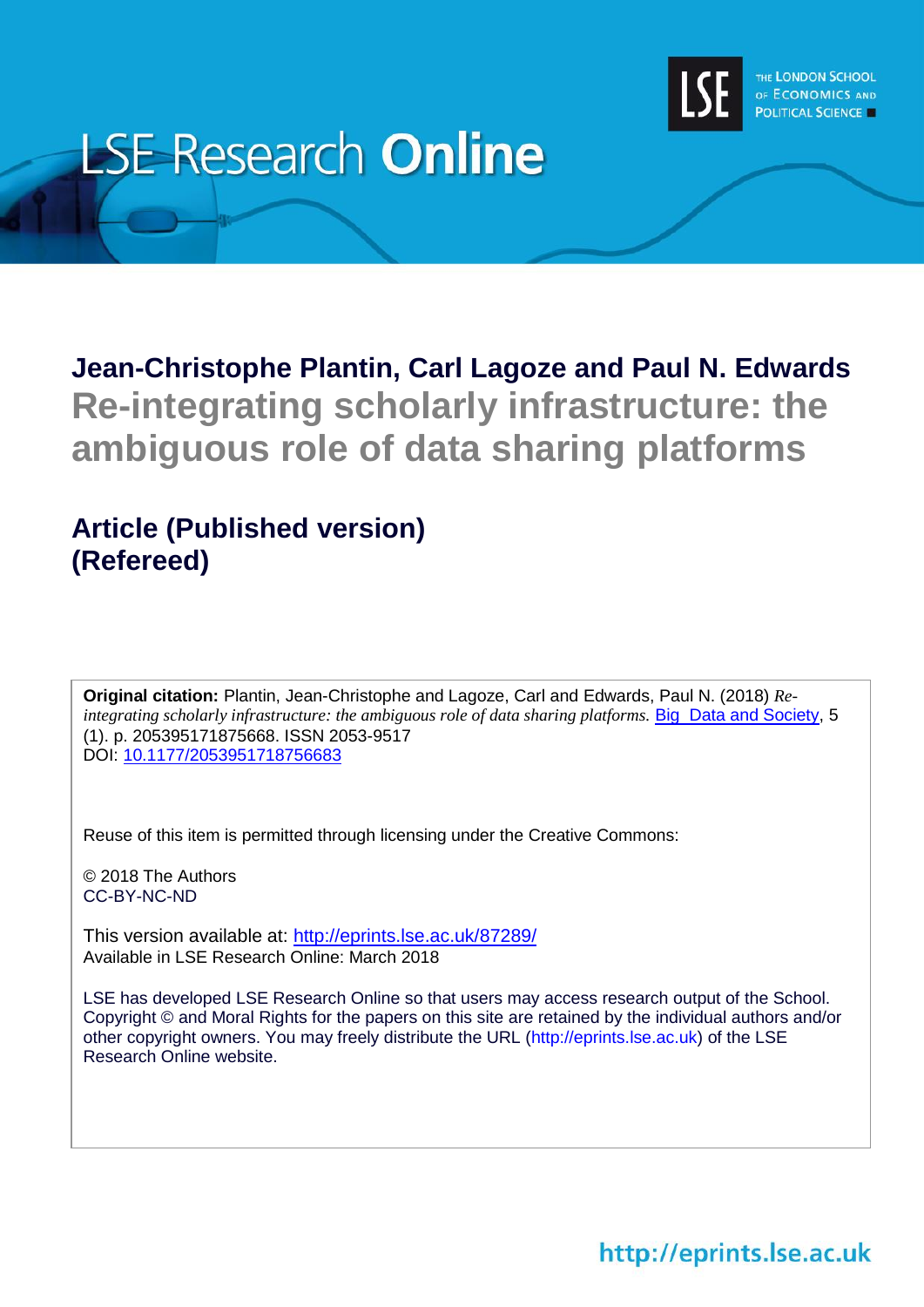

# **LSE Research Online**

# **Jean-Christophe Plantin, Carl Lagoze and Paul N. Edwards Re-integrating scholarly infrastructure: the ambiguous role of data sharing platforms**

# **Article (Published version) (Refereed)**

**Original citation:** Plantin, Jean-Christophe and Lagoze, Carl and Edwards, Paul N. (2018) *Re-*integrating scholarly infrastructure: the ambiguous role of data sharing platforms. [Big Data and Society,](http://journals.sagepub.com/home/bds) 5 (1). p. 205395171875668. ISSN 2053-9517 DOI: [10.1177/2053951718756683](http://dx.doi.org/10.1177/2053951718756683)

Reuse of this item is permitted through licensing under the Creative Commons:

© 2018 The Authors CC-BY-NC-ND

This version available at: <http://eprints.lse.ac.uk/87289/> Available in LSE Research Online: March 2018

LSE has developed LSE Research Online so that users may access research output of the School. Copyright © and Moral Rights for the papers on this site are retained by the individual authors and/or other copyright owners. You may freely distribute the URL (http://eprints.lse.ac.uk) of the LSE Research Online website.

http://eprints.lse.ac.uk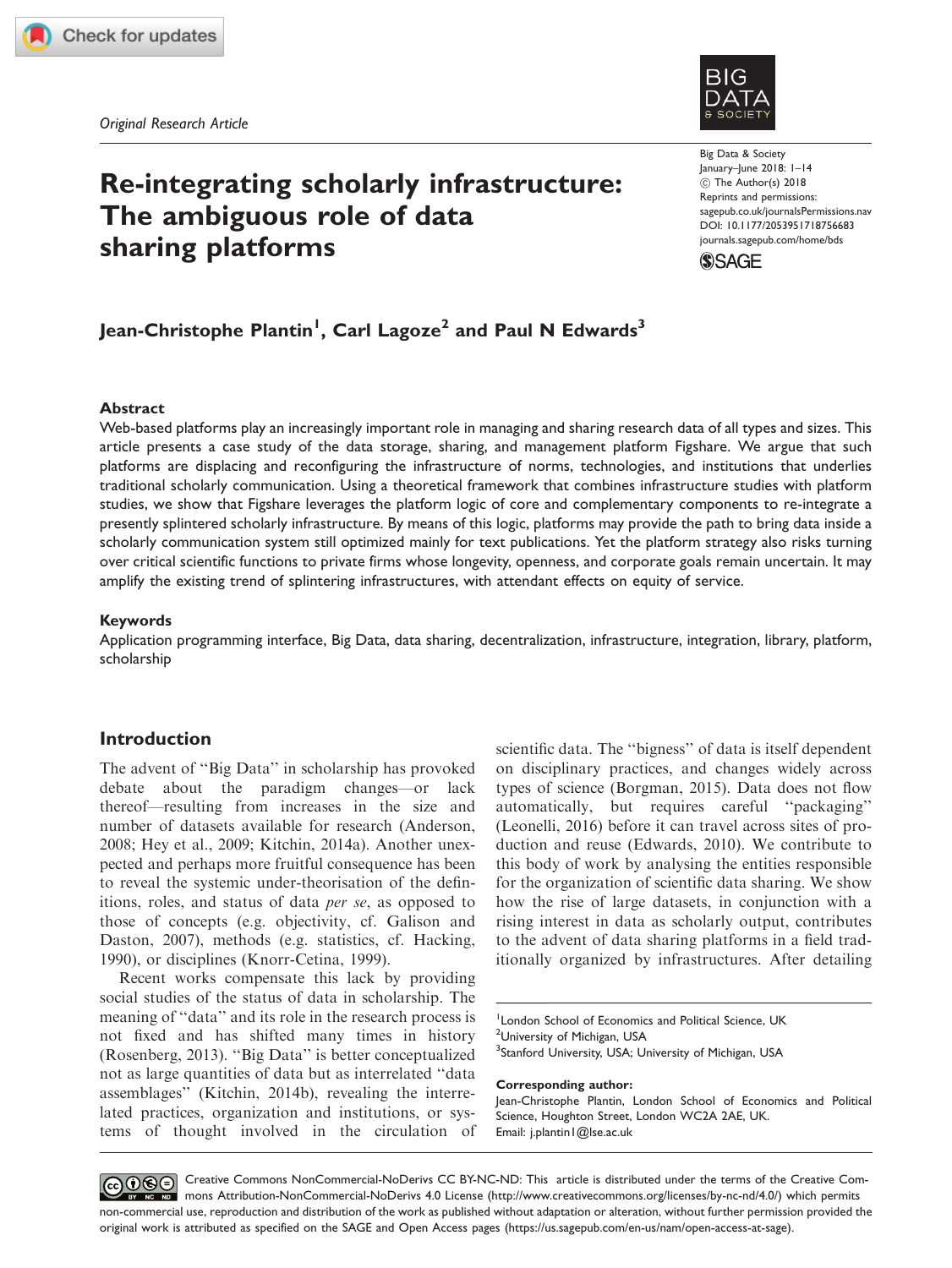

## Re-integrating scholarly infrastructure: The ambiguous role of data sharing platforms

Big Data & Society January–June 2018: 1–14 (C) The Author(s) 2018 Reprints and permissions: [sagepub.co.uk/journalsPermissions.nav](https://uk.sagepub.com/en-gb/journals-permissions) DOI: [10.1177/2053951718756683](https://doi.org/10.1177/2053951718756683) <journals.sagepub.com/home/bds>



### Jean-Christophe Plantin<sup>I</sup>, Carl Lagoze<sup>2</sup> and Paul N Edwards<sup>3</sup>

#### Abstract

Web-based platforms play an increasingly important role in managing and sharing research data of all types and sizes. This article presents a case study of the data storage, sharing, and management platform Figshare. We argue that such platforms are displacing and reconfiguring the infrastructure of norms, technologies, and institutions that underlies traditional scholarly communication. Using a theoretical framework that combines infrastructure studies with platform studies, we show that Figshare leverages the platform logic of core and complementary components to re-integrate a presently splintered scholarly infrastructure. By means of this logic, platforms may provide the path to bring data inside a scholarly communication system still optimized mainly for text publications. Yet the platform strategy also risks turning over critical scientific functions to private firms whose longevity, openness, and corporate goals remain uncertain. It may amplify the existing trend of splintering infrastructures, with attendant effects on equity of service.

#### Keywords

Application programming interface, Big Data, data sharing, decentralization, infrastructure, integration, library, platform, scholarship

#### Introduction

The advent of ''Big Data'' in scholarship has provoked debate about the paradigm changes—or lack thereof—resulting from increases in the size and number of datasets available for research (Anderson, 2008; Hey et al., 2009; Kitchin, 2014a). Another unexpected and perhaps more fruitful consequence has been to reveal the systemic under-theorisation of the definitions, roles, and status of data per se, as opposed to those of concepts (e.g. objectivity, cf. Galison and Daston, 2007), methods (e.g. statistics, cf. Hacking, 1990), or disciplines (Knorr-Cetina, 1999).

Recent works compensate this lack by providing social studies of the status of data in scholarship. The meaning of ''data'' and its role in the research process is not fixed and has shifted many times in history (Rosenberg, 2013). ''Big Data'' is better conceptualized not as large quantities of data but as interrelated ''data assemblages'' (Kitchin, 2014b), revealing the interrelated practices, organization and institutions, or systems of thought involved in the circulation of scientific data. The ''bigness'' of data is itself dependent on disciplinary practices, and changes widely across types of science (Borgman, 2015). Data does not flow automatically, but requires careful ''packaging'' (Leonelli, 2016) before it can travel across sites of production and reuse (Edwards, 2010). We contribute to this body of work by analysing the entities responsible for the organization of scientific data sharing. We show how the rise of large datasets, in conjunction with a rising interest in data as scholarly output, contributes to the advent of data sharing platforms in a field traditionally organized by infrastructures. After detailing

Corresponding author:

Jean-Christophe Plantin, London School of Economics and Political Science, Houghton Street, London WC2A 2AE, UK. Email: j.plantin1@lse.ac.uk

CCO OCE Creative Commons NonCommercial-NoDerivs CC BY-NC-ND: This article is distributed under the terms of the Creative Commons Attribution-NonCommercial-NoDerivs 4.0 License (http://www.creativecommons.org/licenses/by-nc-nd/4.0/) which permits non-commercial use, reproduction and distribution of the work as published without adaptation or alteration, without further permission provided the original work is attributed as specified on the SAGE and Open Access pages (https://us.sagepub.com/en-us/nam/open-access-at-sage).

<sup>&</sup>lt;sup>1</sup> London School of Economics and Political Science, UK <sup>2</sup>University of Michigan, USA

<sup>&</sup>lt;sup>3</sup>Stanford University, USA; University of Michigan, USA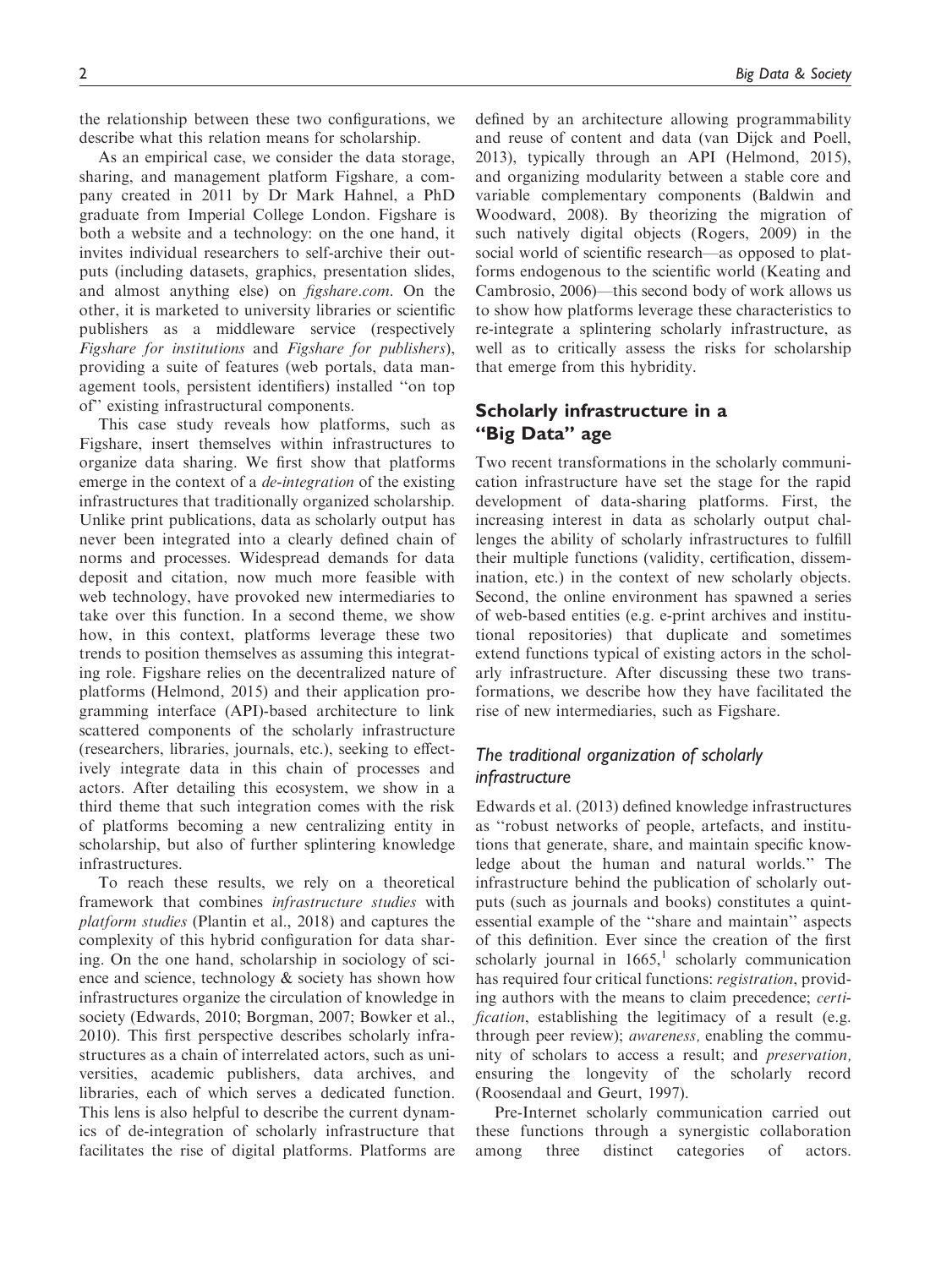the relationship between these two configurations, we describe what this relation means for scholarship.

As an empirical case, we consider the data storage, sharing, and management platform Figshare, a company created in 2011 by Dr Mark Hahnel, a PhD graduate from Imperial College London. Figshare is both a website and a technology: on the one hand, it invites individual researchers to self-archive their outputs (including datasets, graphics, presentation slides, and almost anything else) on figshare.com. On the other, it is marketed to university libraries or scientific publishers as a middleware service (respectively Figshare for institutions and Figshare for publishers), providing a suite of features (web portals, data management tools, persistent identifiers) installed ''on top of'' existing infrastructural components.

This case study reveals how platforms, such as Figshare, insert themselves within infrastructures to organize data sharing. We first show that platforms emerge in the context of a *de-integration* of the existing infrastructures that traditionally organized scholarship. Unlike print publications, data as scholarly output has never been integrated into a clearly defined chain of norms and processes. Widespread demands for data deposit and citation, now much more feasible with web technology, have provoked new intermediaries to take over this function. In a second theme, we show how, in this context, platforms leverage these two trends to position themselves as assuming this integrating role. Figshare relies on the decentralized nature of platforms (Helmond, 2015) and their application programming interface (API)-based architecture to link scattered components of the scholarly infrastructure (researchers, libraries, journals, etc.), seeking to effectively integrate data in this chain of processes and actors. After detailing this ecosystem, we show in a third theme that such integration comes with the risk of platforms becoming a new centralizing entity in scholarship, but also of further splintering knowledge infrastructures.

To reach these results, we rely on a theoretical framework that combines infrastructure studies with platform studies (Plantin et al., 2018) and captures the complexity of this hybrid configuration for data sharing. On the one hand, scholarship in sociology of science and science, technology & society has shown how infrastructures organize the circulation of knowledge in society (Edwards, 2010; Borgman, 2007; Bowker et al., 2010). This first perspective describes scholarly infrastructures as a chain of interrelated actors, such as universities, academic publishers, data archives, and libraries, each of which serves a dedicated function. This lens is also helpful to describe the current dynamics of de-integration of scholarly infrastructure that facilitates the rise of digital platforms. Platforms are defined by an architecture allowing programmability and reuse of content and data (van Dijck and Poell, 2013), typically through an API (Helmond, 2015), and organizing modularity between a stable core and variable complementary components (Baldwin and Woodward, 2008). By theorizing the migration of such natively digital objects (Rogers, 2009) in the social world of scientific research—as opposed to platforms endogenous to the scientific world (Keating and Cambrosio, 2006)—this second body of work allows us to show how platforms leverage these characteristics to re-integrate a splintering scholarly infrastructure, as well as to critically assess the risks for scholarship that emerge from this hybridity.

#### Scholarly infrastructure in a "Big Data" age

Two recent transformations in the scholarly communication infrastructure have set the stage for the rapid development of data-sharing platforms. First, the increasing interest in data as scholarly output challenges the ability of scholarly infrastructures to fulfill their multiple functions (validity, certification, dissemination, etc.) in the context of new scholarly objects. Second, the online environment has spawned a series of web-based entities (e.g. e-print archives and institutional repositories) that duplicate and sometimes extend functions typical of existing actors in the scholarly infrastructure. After discussing these two transformations, we describe how they have facilitated the rise of new intermediaries, such as Figshare.

#### The traditional organization of scholarly infrastructure

Edwards et al. (2013) defined knowledge infrastructures as ''robust networks of people, artefacts, and institutions that generate, share, and maintain specific knowledge about the human and natural worlds.'' The infrastructure behind the publication of scholarly outputs (such as journals and books) constitutes a quintessential example of the ''share and maintain'' aspects of this definition. Ever since the creation of the first scholarly journal in  $1665$ , scholarly communication has required four critical functions: registration, providing authors with the means to claim precedence; certification, establishing the legitimacy of a result (e.g. through peer review); awareness, enabling the community of scholars to access a result; and preservation, ensuring the longevity of the scholarly record (Roosendaal and Geurt, 1997).

Pre-Internet scholarly communication carried out these functions through a synergistic collaboration among three distinct categories of actors.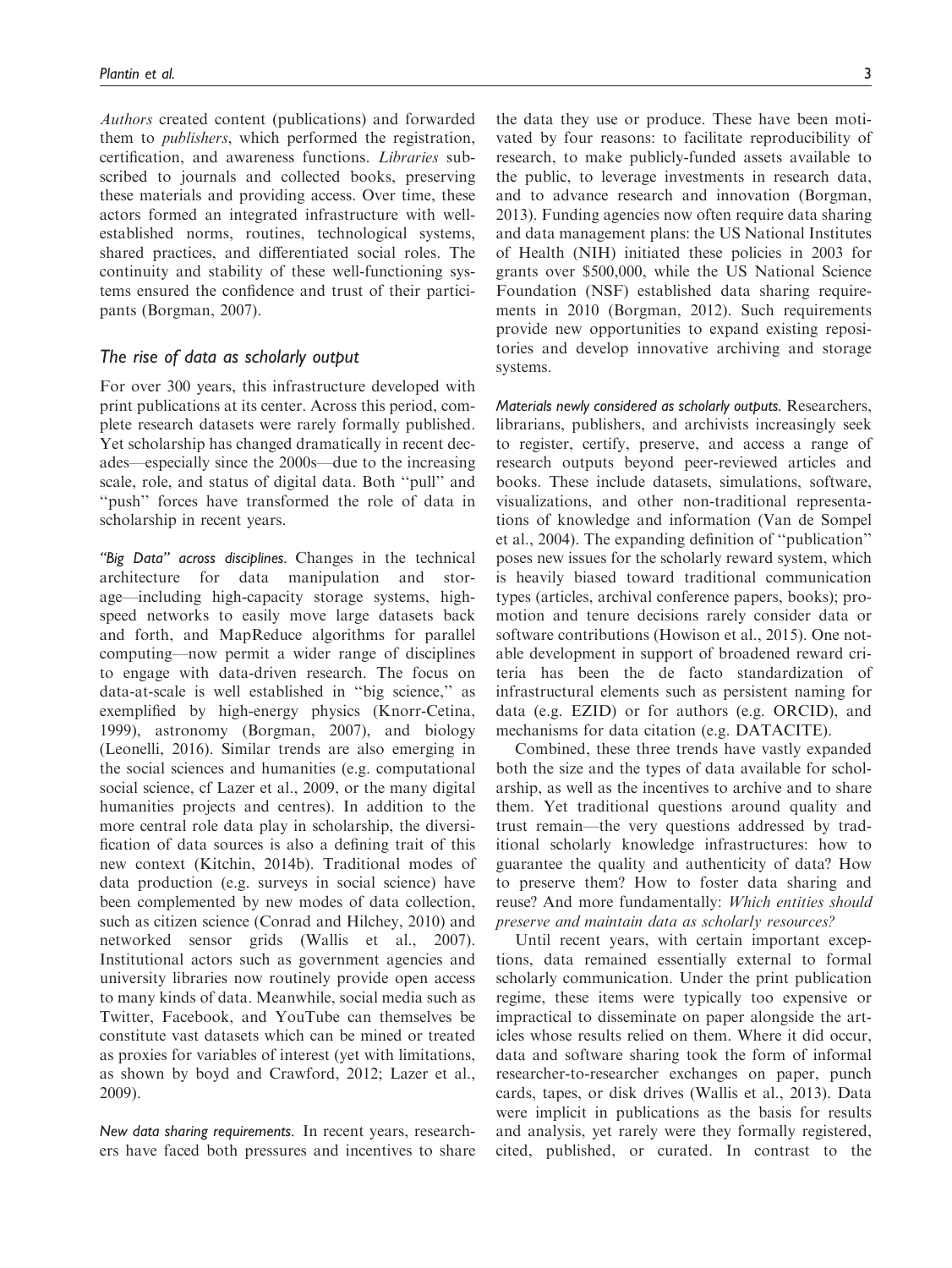Authors created content (publications) and forwarded them to publishers, which performed the registration, certification, and awareness functions. Libraries subscribed to journals and collected books, preserving these materials and providing access. Over time, these actors formed an integrated infrastructure with wellestablished norms, routines, technological systems, shared practices, and differentiated social roles. The continuity and stability of these well-functioning systems ensured the confidence and trust of their participants (Borgman, 2007).

#### The rise of data as scholarly output

For over 300 years, this infrastructure developed with print publications at its center. Across this period, complete research datasets were rarely formally published. Yet scholarship has changed dramatically in recent decades—especially since the 2000s—due to the increasing scale, role, and status of digital data. Both ''pull'' and "push" forces have transformed the role of data in scholarship in recent years.

"Big Data" across disciplines. Changes in the technical architecture for data manipulation and storage—including high-capacity storage systems, highspeed networks to easily move large datasets back and forth, and MapReduce algorithms for parallel computing—now permit a wider range of disciplines to engage with data-driven research. The focus on data-at-scale is well established in ''big science,'' as exemplified by high-energy physics (Knorr-Cetina, 1999), astronomy (Borgman, 2007), and biology (Leonelli, 2016). Similar trends are also emerging in the social sciences and humanities (e.g. computational social science, cf Lazer et al., 2009, or the many digital humanities projects and centres). In addition to the more central role data play in scholarship, the diversification of data sources is also a defining trait of this new context (Kitchin, 2014b). Traditional modes of data production (e.g. surveys in social science) have been complemented by new modes of data collection, such as citizen science (Conrad and Hilchey, 2010) and networked sensor grids (Wallis et al., 2007). Institutional actors such as government agencies and university libraries now routinely provide open access to many kinds of data. Meanwhile, social media such as Twitter, Facebook, and YouTube can themselves be constitute vast datasets which can be mined or treated as proxies for variables of interest (yet with limitations, as shown by boyd and Crawford, 2012; Lazer et al., 2009).

New data sharing requirements. In recent years, researchers have faced both pressures and incentives to share the data they use or produce. These have been motivated by four reasons: to facilitate reproducibility of research, to make publicly-funded assets available to the public, to leverage investments in research data, and to advance research and innovation (Borgman, 2013). Funding agencies now often require data sharing and data management plans: the US National Institutes of Health (NIH) initiated these policies in 2003 for grants over \$500,000, while the US National Science Foundation (NSF) established data sharing requirements in 2010 (Borgman, 2012). Such requirements provide new opportunities to expand existing repositories and develop innovative archiving and storage systems.

Materials newly considered as scholarly outputs. Researchers, librarians, publishers, and archivists increasingly seek to register, certify, preserve, and access a range of research outputs beyond peer-reviewed articles and books. These include datasets, simulations, software, visualizations, and other non-traditional representations of knowledge and information (Van de Sompel et al., 2004). The expanding definition of ''publication'' poses new issues for the scholarly reward system, which is heavily biased toward traditional communication types (articles, archival conference papers, books); promotion and tenure decisions rarely consider data or software contributions (Howison et al., 2015). One notable development in support of broadened reward criteria has been the de facto standardization of infrastructural elements such as persistent naming for data (e.g. EZID) or for authors (e.g. ORCID), and mechanisms for data citation (e.g. DATACITE).

Combined, these three trends have vastly expanded both the size and the types of data available for scholarship, as well as the incentives to archive and to share them. Yet traditional questions around quality and trust remain—the very questions addressed by traditional scholarly knowledge infrastructures: how to guarantee the quality and authenticity of data? How to preserve them? How to foster data sharing and reuse? And more fundamentally: Which entities should preserve and maintain data as scholarly resources?

Until recent years, with certain important exceptions, data remained essentially external to formal scholarly communication. Under the print publication regime, these items were typically too expensive or impractical to disseminate on paper alongside the articles whose results relied on them. Where it did occur, data and software sharing took the form of informal researcher-to-researcher exchanges on paper, punch cards, tapes, or disk drives (Wallis et al., 2013). Data were implicit in publications as the basis for results and analysis, yet rarely were they formally registered, cited, published, or curated. In contrast to the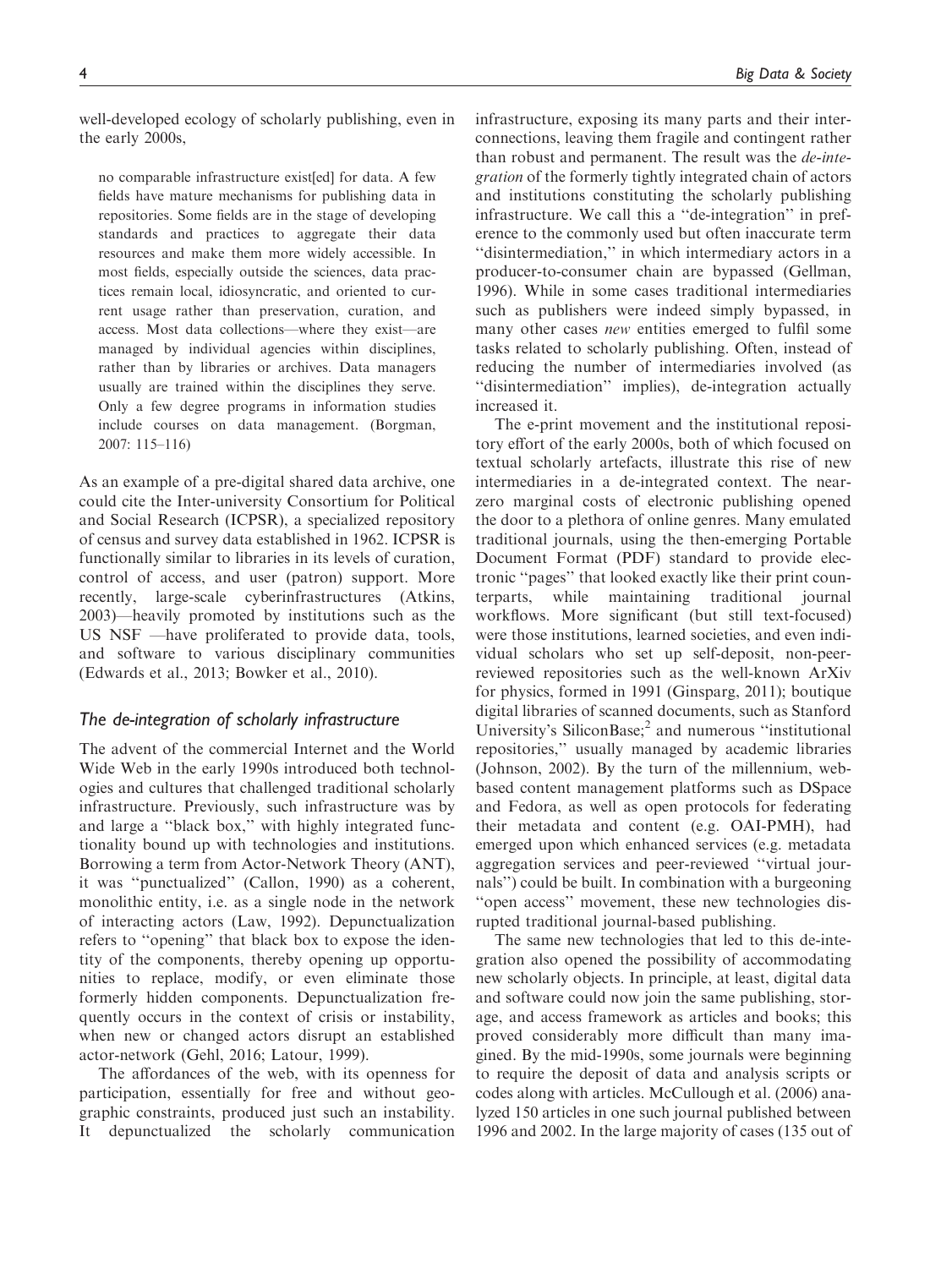well-developed ecology of scholarly publishing, even in the early 2000s,

no comparable infrastructure exist[ed] for data. A few fields have mature mechanisms for publishing data in repositories. Some fields are in the stage of developing standards and practices to aggregate their data resources and make them more widely accessible. In most fields, especially outside the sciences, data practices remain local, idiosyncratic, and oriented to current usage rather than preservation, curation, and access. Most data collections—where they exist—are managed by individual agencies within disciplines, rather than by libraries or archives. Data managers usually are trained within the disciplines they serve. Only a few degree programs in information studies include courses on data management. (Borgman, 2007: 115–116)

As an example of a pre-digital shared data archive, one could cite the Inter-university Consortium for Political and Social Research (ICPSR), a specialized repository of census and survey data established in 1962. ICPSR is functionally similar to libraries in its levels of curation, control of access, and user (patron) support. More recently, large-scale cyberinfrastructures (Atkins, 2003)—heavily promoted by institutions such as the US NSF —have proliferated to provide data, tools, and software to various disciplinary communities (Edwards et al., 2013; Bowker et al., 2010).

#### The de-integration of scholarly infrastructure

The advent of the commercial Internet and the World Wide Web in the early 1990s introduced both technologies and cultures that challenged traditional scholarly infrastructure. Previously, such infrastructure was by and large a "black box," with highly integrated functionality bound up with technologies and institutions. Borrowing a term from Actor-Network Theory (ANT), it was ''punctualized'' (Callon, 1990) as a coherent, monolithic entity, i.e. as a single node in the network of interacting actors (Law, 1992). Depunctualization refers to ''opening'' that black box to expose the identity of the components, thereby opening up opportunities to replace, modify, or even eliminate those formerly hidden components. Depunctualization frequently occurs in the context of crisis or instability, when new or changed actors disrupt an established actor-network (Gehl, 2016; Latour, 1999).

The affordances of the web, with its openness for participation, essentially for free and without geographic constraints, produced just such an instability. It depunctualized the scholarly communication infrastructure, exposing its many parts and their interconnections, leaving them fragile and contingent rather than robust and permanent. The result was the *de-inte*gration of the formerly tightly integrated chain of actors and institutions constituting the scholarly publishing infrastructure. We call this a ''de-integration'' in preference to the commonly used but often inaccurate term ''disintermediation,'' in which intermediary actors in a producer-to-consumer chain are bypassed (Gellman, 1996). While in some cases traditional intermediaries such as publishers were indeed simply bypassed, in many other cases *new* entities emerged to fulfil some tasks related to scholarly publishing. Often, instead of reducing the number of intermediaries involved (as ''disintermediation'' implies), de-integration actually increased it.

The e-print movement and the institutional repository effort of the early 2000s, both of which focused on textual scholarly artefacts, illustrate this rise of new intermediaries in a de-integrated context. The nearzero marginal costs of electronic publishing opened the door to a plethora of online genres. Many emulated traditional journals, using the then-emerging Portable Document Format (PDF) standard to provide electronic ''pages'' that looked exactly like their print counterparts, while maintaining traditional journal workflows. More significant (but still text-focused) were those institutions, learned societies, and even individual scholars who set up self-deposit, non-peerreviewed repositories such as the well-known ArXiv for physics, formed in 1991 (Ginsparg, 2011); boutique digital libraries of scanned documents, such as Stanford University's SiliconBase;<sup>2</sup> and numerous "institutional" repositories,'' usually managed by academic libraries (Johnson, 2002). By the turn of the millennium, webbased content management platforms such as DSpace and Fedora, as well as open protocols for federating their metadata and content (e.g. OAI-PMH), had emerged upon which enhanced services (e.g. metadata aggregation services and peer-reviewed ''virtual journals'') could be built. In combination with a burgeoning ''open access'' movement, these new technologies disrupted traditional journal-based publishing.

The same new technologies that led to this de-integration also opened the possibility of accommodating new scholarly objects. In principle, at least, digital data and software could now join the same publishing, storage, and access framework as articles and books; this proved considerably more difficult than many imagined. By the mid-1990s, some journals were beginning to require the deposit of data and analysis scripts or codes along with articles. McCullough et al. (2006) analyzed 150 articles in one such journal published between 1996 and 2002. In the large majority of cases (135 out of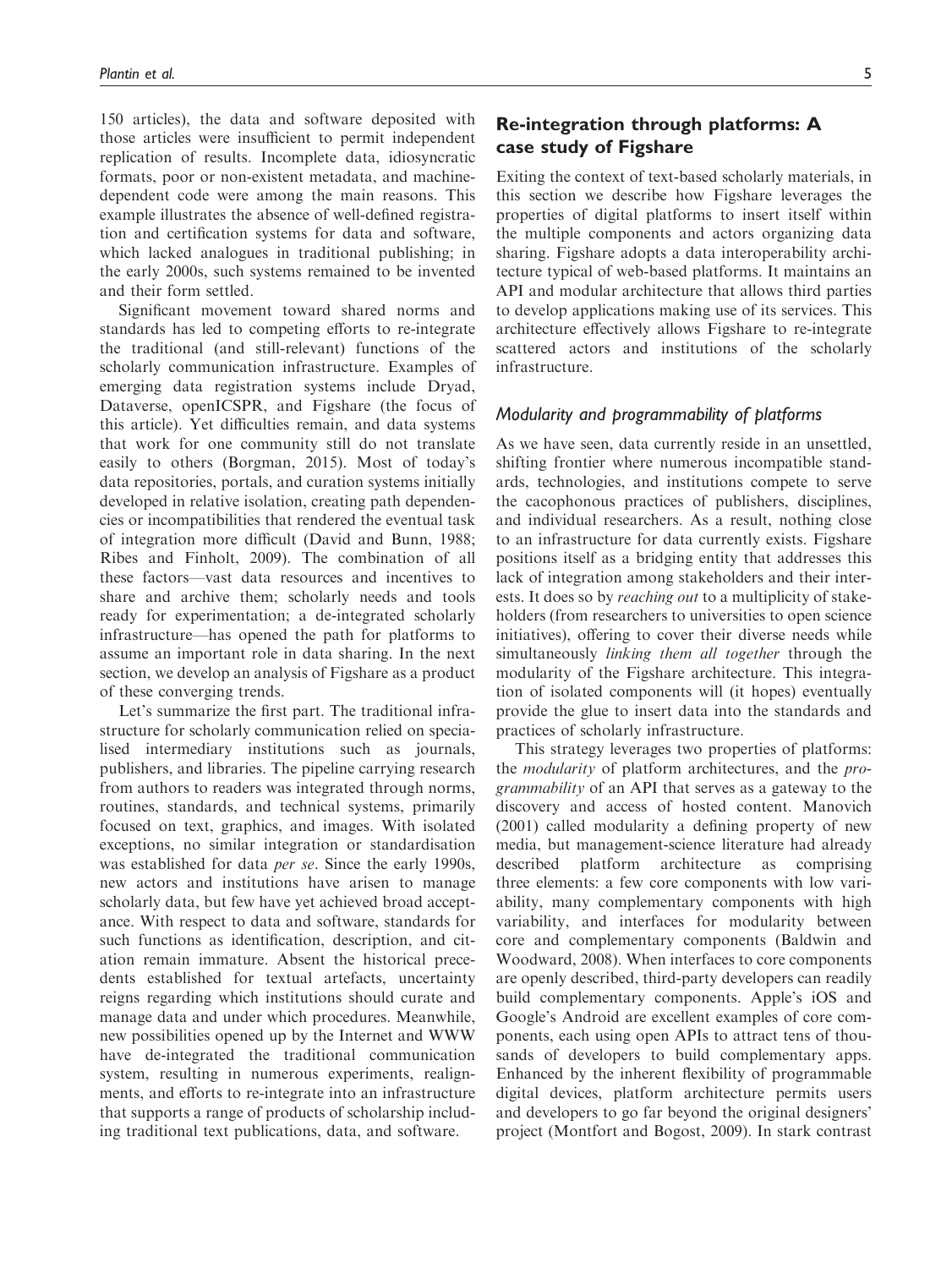150 articles), the data and software deposited with those articles were insufficient to permit independent replication of results. Incomplete data, idiosyncratic formats, poor or non-existent metadata, and machinedependent code were among the main reasons. This example illustrates the absence of well-defined registration and certification systems for data and software, which lacked analogues in traditional publishing; in the early 2000s, such systems remained to be invented and their form settled.

Significant movement toward shared norms and standards has led to competing efforts to re-integrate the traditional (and still-relevant) functions of the scholarly communication infrastructure. Examples of emerging data registration systems include Dryad, Dataverse, openICSPR, and Figshare (the focus of this article). Yet difficulties remain, and data systems that work for one community still do not translate easily to others (Borgman, 2015). Most of today's data repositories, portals, and curation systems initially developed in relative isolation, creating path dependencies or incompatibilities that rendered the eventual task of integration more difficult (David and Bunn, 1988; Ribes and Finholt, 2009). The combination of all these factors—vast data resources and incentives to share and archive them; scholarly needs and tools ready for experimentation; a de-integrated scholarly infrastructure—has opened the path for platforms to assume an important role in data sharing. In the next section, we develop an analysis of Figshare as a product of these converging trends.

Let's summarize the first part. The traditional infrastructure for scholarly communication relied on specialised intermediary institutions such as journals, publishers, and libraries. The pipeline carrying research from authors to readers was integrated through norms, routines, standards, and technical systems, primarily focused on text, graphics, and images. With isolated exceptions, no similar integration or standardisation was established for data per se. Since the early 1990s, new actors and institutions have arisen to manage scholarly data, but few have yet achieved broad acceptance. With respect to data and software, standards for such functions as identification, description, and citation remain immature. Absent the historical precedents established for textual artefacts, uncertainty reigns regarding which institutions should curate and manage data and under which procedures. Meanwhile, new possibilities opened up by the Internet and WWW have de-integrated the traditional communication system, resulting in numerous experiments, realignments, and efforts to re-integrate into an infrastructure that supports a range of products of scholarship including traditional text publications, data, and software.

#### Re-integration through platforms: A case study of Figshare

Exiting the context of text-based scholarly materials, in this section we describe how Figshare leverages the properties of digital platforms to insert itself within the multiple components and actors organizing data sharing. Figshare adopts a data interoperability architecture typical of web-based platforms. It maintains an API and modular architecture that allows third parties to develop applications making use of its services. This architecture effectively allows Figshare to re-integrate scattered actors and institutions of the scholarly infrastructure.

#### Modularity and programmability of platforms

As we have seen, data currently reside in an unsettled, shifting frontier where numerous incompatible standards, technologies, and institutions compete to serve the cacophonous practices of publishers, disciplines, and individual researchers. As a result, nothing close to an infrastructure for data currently exists. Figshare positions itself as a bridging entity that addresses this lack of integration among stakeholders and their interests. It does so by reaching out to a multiplicity of stakeholders (from researchers to universities to open science initiatives), offering to cover their diverse needs while simultaneously *linking them all together* through the modularity of the Figshare architecture. This integration of isolated components will (it hopes) eventually provide the glue to insert data into the standards and practices of scholarly infrastructure.

This strategy leverages two properties of platforms: the modularity of platform architectures, and the programmability of an API that serves as a gateway to the discovery and access of hosted content. Manovich (2001) called modularity a defining property of new media, but management-science literature had already described platform architecture as comprising three elements: a few core components with low variability, many complementary components with high variability, and interfaces for modularity between core and complementary components (Baldwin and Woodward, 2008). When interfaces to core components are openly described, third-party developers can readily build complementary components. Apple's iOS and Google's Android are excellent examples of core components, each using open APIs to attract tens of thousands of developers to build complementary apps. Enhanced by the inherent flexibility of programmable digital devices, platform architecture permits users and developers to go far beyond the original designers' project (Montfort and Bogost, 2009). In stark contrast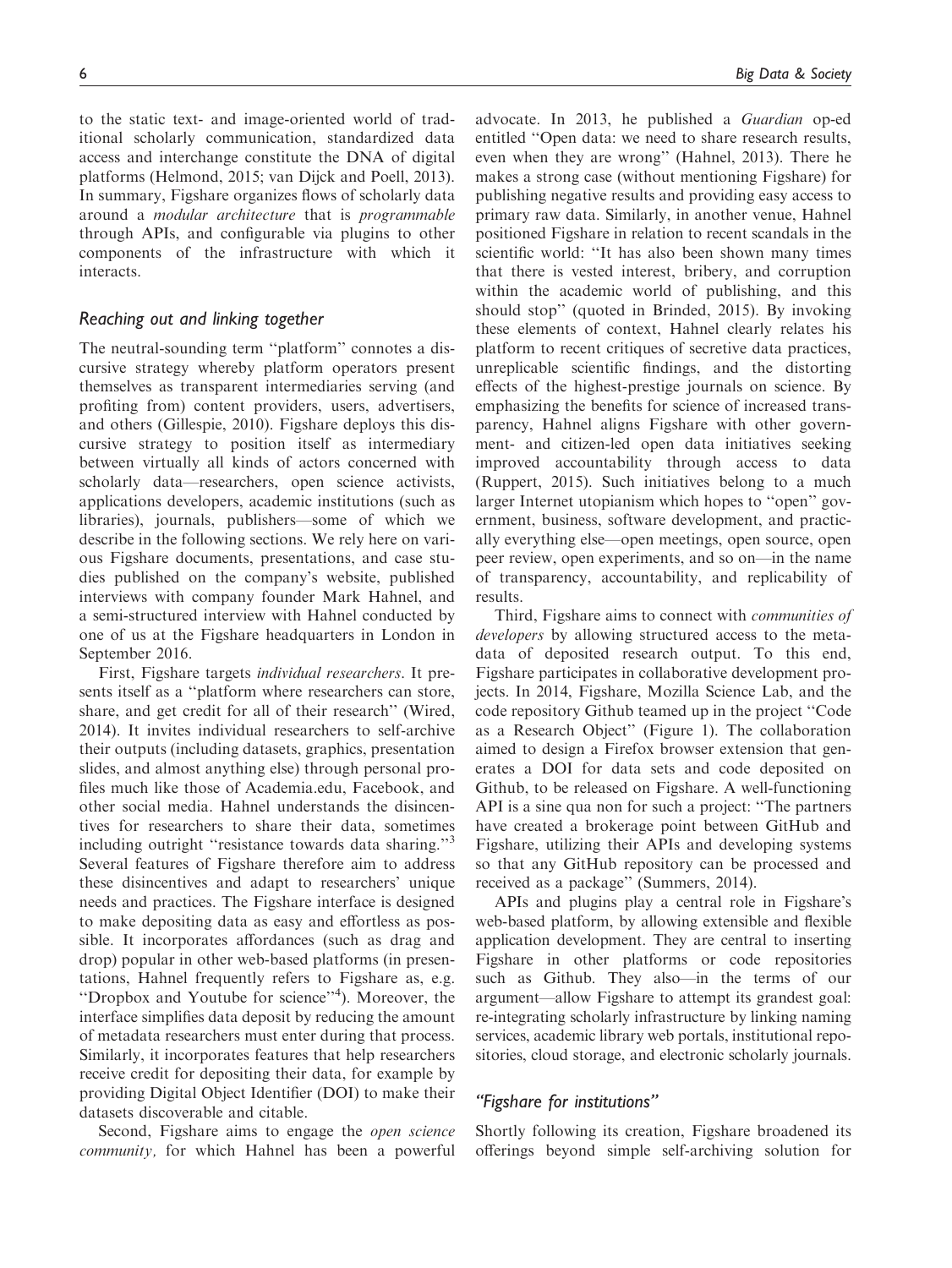to the static text- and image-oriented world of traditional scholarly communication, standardized data access and interchange constitute the DNA of digital platforms (Helmond, 2015; van Dijck and Poell, 2013). In summary, Figshare organizes flows of scholarly data around a modular architecture that is programmable through APIs, and configurable via plugins to other components of the infrastructure with which it interacts.

#### Reaching out and linking together

The neutral-sounding term "platform" connotes a discursive strategy whereby platform operators present themselves as transparent intermediaries serving (and profiting from) content providers, users, advertisers, and others (Gillespie, 2010). Figshare deploys this discursive strategy to position itself as intermediary between virtually all kinds of actors concerned with scholarly data—researchers, open science activists, applications developers, academic institutions (such as libraries), journals, publishers—some of which we describe in the following sections. We rely here on various Figshare documents, presentations, and case studies published on the company's website, published interviews with company founder Mark Hahnel, and a semi-structured interview with Hahnel conducted by one of us at the Figshare headquarters in London in September 2016.

First, Figshare targets individual researchers. It presents itself as a ''platform where researchers can store, share, and get credit for all of their research'' (Wired, 2014). It invites individual researchers to self-archive their outputs (including datasets, graphics, presentation slides, and almost anything else) through personal profiles much like those of Academia.edu, Facebook, and other social media. Hahnel understands the disincentives for researchers to share their data, sometimes including outright ''resistance towards data sharing.''<sup>3</sup> Several features of Figshare therefore aim to address these disincentives and adapt to researchers' unique needs and practices. The Figshare interface is designed to make depositing data as easy and effortless as possible. It incorporates affordances (such as drag and drop) popular in other web-based platforms (in presentations, Hahnel frequently refers to Figshare as, e.g. "Dropbox and Youtube for science"<sup>4</sup>). Moreover, the interface simplifies data deposit by reducing the amount of metadata researchers must enter during that process. Similarly, it incorporates features that help researchers receive credit for depositing their data, for example by providing Digital Object Identifier (DOI) to make their datasets discoverable and citable.

Second, Figshare aims to engage the *open science* community, for which Hahnel has been a powerful

advocate. In 2013, he published a Guardian op-ed entitled ''Open data: we need to share research results, even when they are wrong'' (Hahnel, 2013). There he makes a strong case (without mentioning Figshare) for publishing negative results and providing easy access to primary raw data. Similarly, in another venue, Hahnel positioned Figshare in relation to recent scandals in the scientific world: ''It has also been shown many times that there is vested interest, bribery, and corruption within the academic world of publishing, and this should stop'' (quoted in Brinded, 2015). By invoking these elements of context, Hahnel clearly relates his platform to recent critiques of secretive data practices, unreplicable scientific findings, and the distorting effects of the highest-prestige journals on science. By emphasizing the benefits for science of increased transparency, Hahnel aligns Figshare with other government- and citizen-led open data initiatives seeking improved accountability through access to data (Ruppert, 2015). Such initiatives belong to a much larger Internet utopianism which hopes to ''open'' government, business, software development, and practically everything else—open meetings, open source, open peer review, open experiments, and so on—in the name of transparency, accountability, and replicability of

Third, Figshare aims to connect with communities of developers by allowing structured access to the metadata of deposited research output. To this end, Figshare participates in collaborative development projects. In 2014, Figshare, Mozilla Science Lab, and the code repository Github teamed up in the project ''Code as a Research Object'' (Figure 1). The collaboration aimed to design a Firefox browser extension that generates a DOI for data sets and code deposited on Github, to be released on Figshare. A well-functioning API is a sine qua non for such a project: ''The partners have created a brokerage point between GitHub and Figshare, utilizing their APIs and developing systems so that any GitHub repository can be processed and received as a package'' (Summers, 2014).

APIs and plugins play a central role in Figshare's web-based platform, by allowing extensible and flexible application development. They are central to inserting Figshare in other platforms or code repositories such as Github. They also—in the terms of our argument—allow Figshare to attempt its grandest goal: re-integrating scholarly infrastructure by linking naming services, academic library web portals, institutional repositories, cloud storage, and electronic scholarly journals.

#### ''Figshare for institutions''

results.

Shortly following its creation, Figshare broadened its offerings beyond simple self-archiving solution for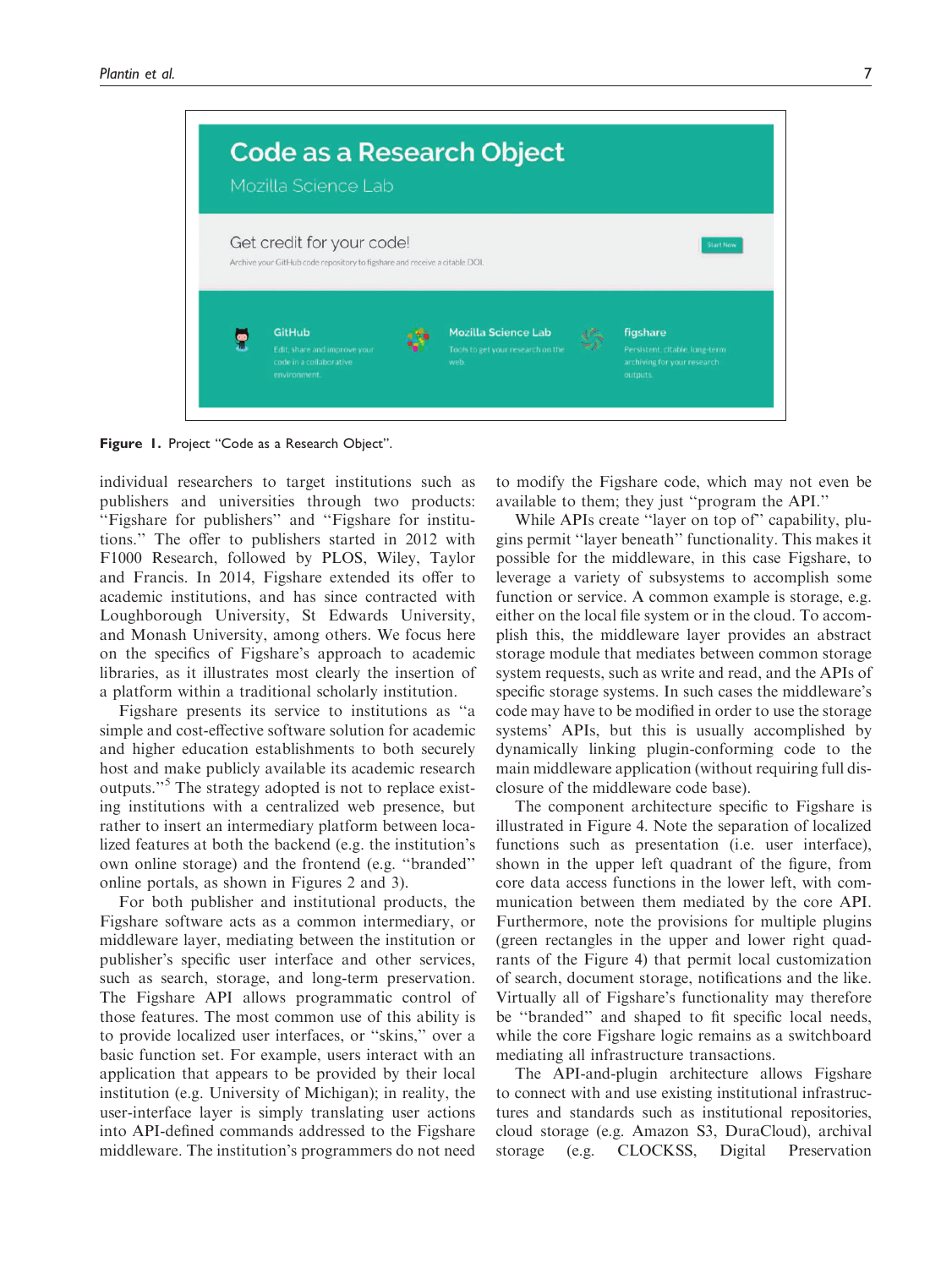

Figure 1. Project "Code as a Research Object".

individual researchers to target institutions such as publishers and universities through two products: ''Figshare for publishers'' and ''Figshare for institutions.'' The offer to publishers started in 2012 with F1000 Research, followed by PLOS, Wiley, Taylor and Francis. In 2014, Figshare extended its offer to academic institutions, and has since contracted with Loughborough University, St Edwards University, and Monash University, among others. We focus here on the specifics of Figshare's approach to academic libraries, as it illustrates most clearly the insertion of a platform within a traditional scholarly institution.

Figshare presents its service to institutions as ''a simple and cost-effective software solution for academic and higher education establishments to both securely host and make publicly available its academic research outputs.''<sup>5</sup> The strategy adopted is not to replace existing institutions with a centralized web presence, but rather to insert an intermediary platform between localized features at both the backend (e.g. the institution's own online storage) and the frontend (e.g. ''branded'' online portals, as shown in Figures 2 and 3).

For both publisher and institutional products, the Figshare software acts as a common intermediary, or middleware layer, mediating between the institution or publisher's specific user interface and other services, such as search, storage, and long-term preservation. The Figshare API allows programmatic control of those features. The most common use of this ability is to provide localized user interfaces, or ''skins,'' over a basic function set. For example, users interact with an application that appears to be provided by their local institution (e.g. University of Michigan); in reality, the user-interface layer is simply translating user actions into API-defined commands addressed to the Figshare middleware. The institution's programmers do not need to modify the Figshare code, which may not even be available to them; they just ''program the API.''

While APIs create "layer on top of" capability, plugins permit ''layer beneath'' functionality. This makes it possible for the middleware, in this case Figshare, to leverage a variety of subsystems to accomplish some function or service. A common example is storage, e.g. either on the local file system or in the cloud. To accomplish this, the middleware layer provides an abstract storage module that mediates between common storage system requests, such as write and read, and the APIs of specific storage systems. In such cases the middleware's code may have to be modified in order to use the storage systems' APIs, but this is usually accomplished by dynamically linking plugin-conforming code to the main middleware application (without requiring full disclosure of the middleware code base).

The component architecture specific to Figshare is illustrated in Figure 4. Note the separation of localized functions such as presentation (i.e. user interface), shown in the upper left quadrant of the figure, from core data access functions in the lower left, with communication between them mediated by the core API. Furthermore, note the provisions for multiple plugins (green rectangles in the upper and lower right quadrants of the Figure 4) that permit local customization of search, document storage, notifications and the like. Virtually all of Figshare's functionality may therefore be ''branded'' and shaped to fit specific local needs, while the core Figshare logic remains as a switchboard mediating all infrastructure transactions.

The API-and-plugin architecture allows Figshare to connect with and use existing institutional infrastructures and standards such as institutional repositories, cloud storage (e.g. Amazon S3, DuraCloud), archival storage (e.g. CLOCKSS, Digital Preservation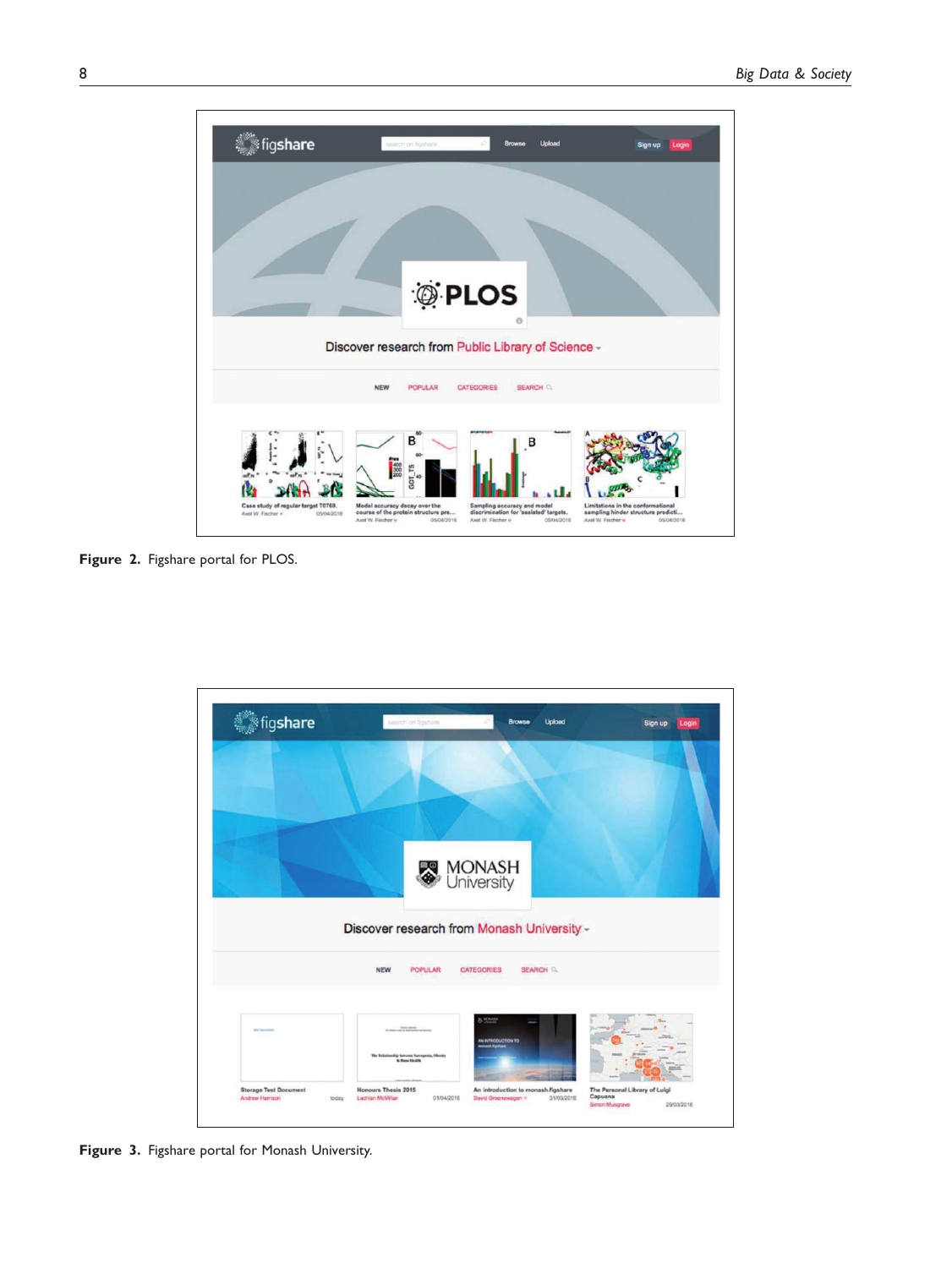

Figure 2. Figshare portal for PLOS.



Figure 3. Figshare portal for Monash University.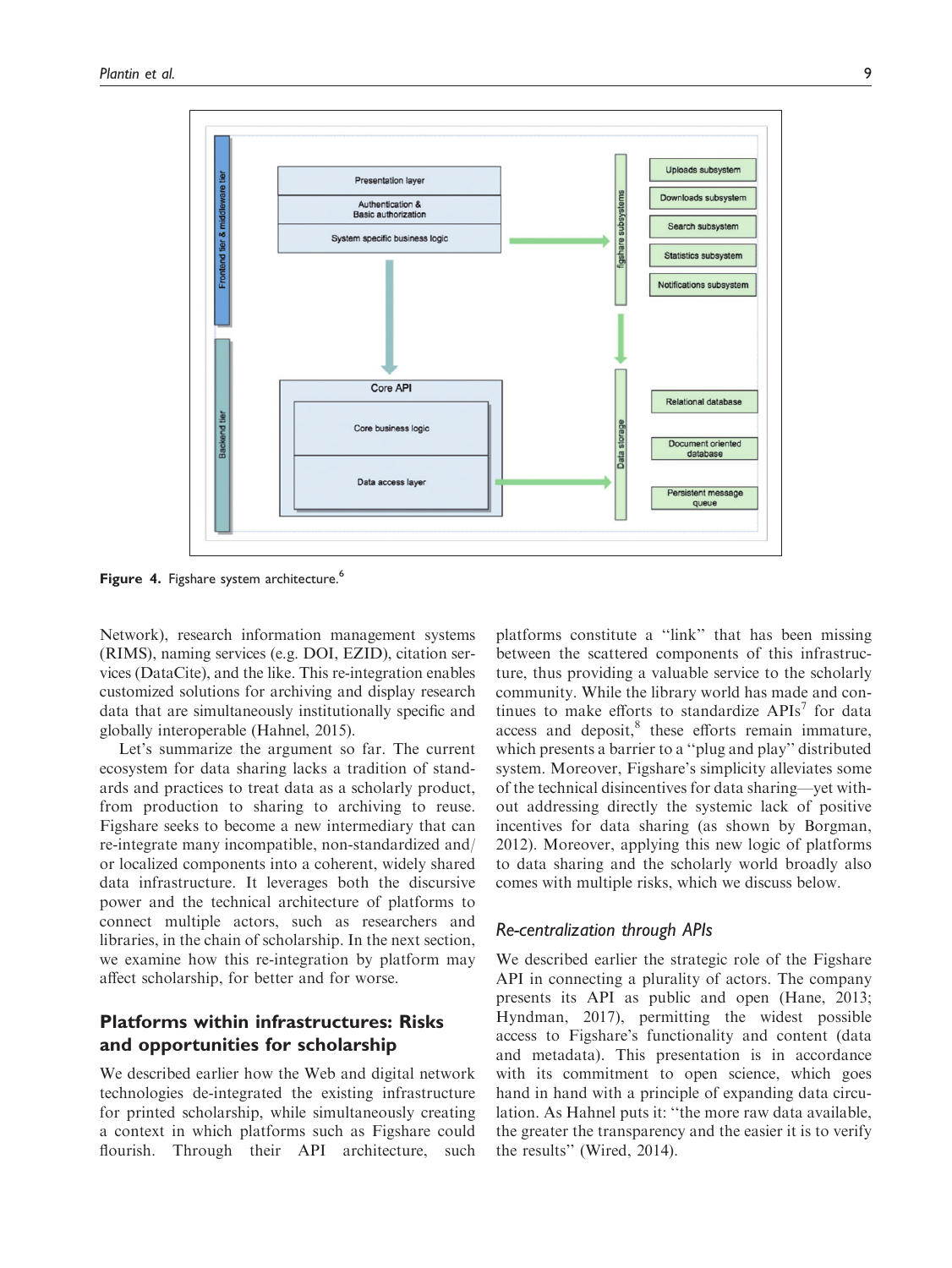

Figure 4. Figshare system architecture.<sup>6</sup>

Network), research information management systems (RIMS), naming services (e.g. DOI, EZID), citation services (DataCite), and the like. This re-integration enables customized solutions for archiving and display research data that are simultaneously institutionally specific and globally interoperable (Hahnel, 2015).

Let's summarize the argument so far. The current ecosystem for data sharing lacks a tradition of standards and practices to treat data as a scholarly product, from production to sharing to archiving to reuse. Figshare seeks to become a new intermediary that can re-integrate many incompatible, non-standardized and/ or localized components into a coherent, widely shared data infrastructure. It leverages both the discursive power and the technical architecture of platforms to connect multiple actors, such as researchers and libraries, in the chain of scholarship. In the next section, we examine how this re-integration by platform may affect scholarship, for better and for worse.

#### Platforms within infrastructures: Risks and opportunities for scholarship

We described earlier how the Web and digital network technologies de-integrated the existing infrastructure for printed scholarship, while simultaneously creating a context in which platforms such as Figshare could flourish. Through their API architecture, such platforms constitute a ''link'' that has been missing between the scattered components of this infrastructure, thus providing a valuable service to the scholarly community. While the library world has made and continues to make efforts to standardize  $APIs<sup>7</sup>$  for data access and deposit, $8$  these efforts remain immature, which presents a barrier to a "plug and play" distributed system. Moreover, Figshare's simplicity alleviates some of the technical disincentives for data sharing—yet without addressing directly the systemic lack of positive incentives for data sharing (as shown by Borgman, 2012). Moreover, applying this new logic of platforms to data sharing and the scholarly world broadly also comes with multiple risks, which we discuss below.

#### Re-centralization through APIs

We described earlier the strategic role of the Figshare API in connecting a plurality of actors. The company presents its API as public and open (Hane, 2013; Hyndman, 2017), permitting the widest possible access to Figshare's functionality and content (data and metadata). This presentation is in accordance with its commitment to open science, which goes hand in hand with a principle of expanding data circulation. As Hahnel puts it: ''the more raw data available, the greater the transparency and the easier it is to verify the results'' (Wired, 2014).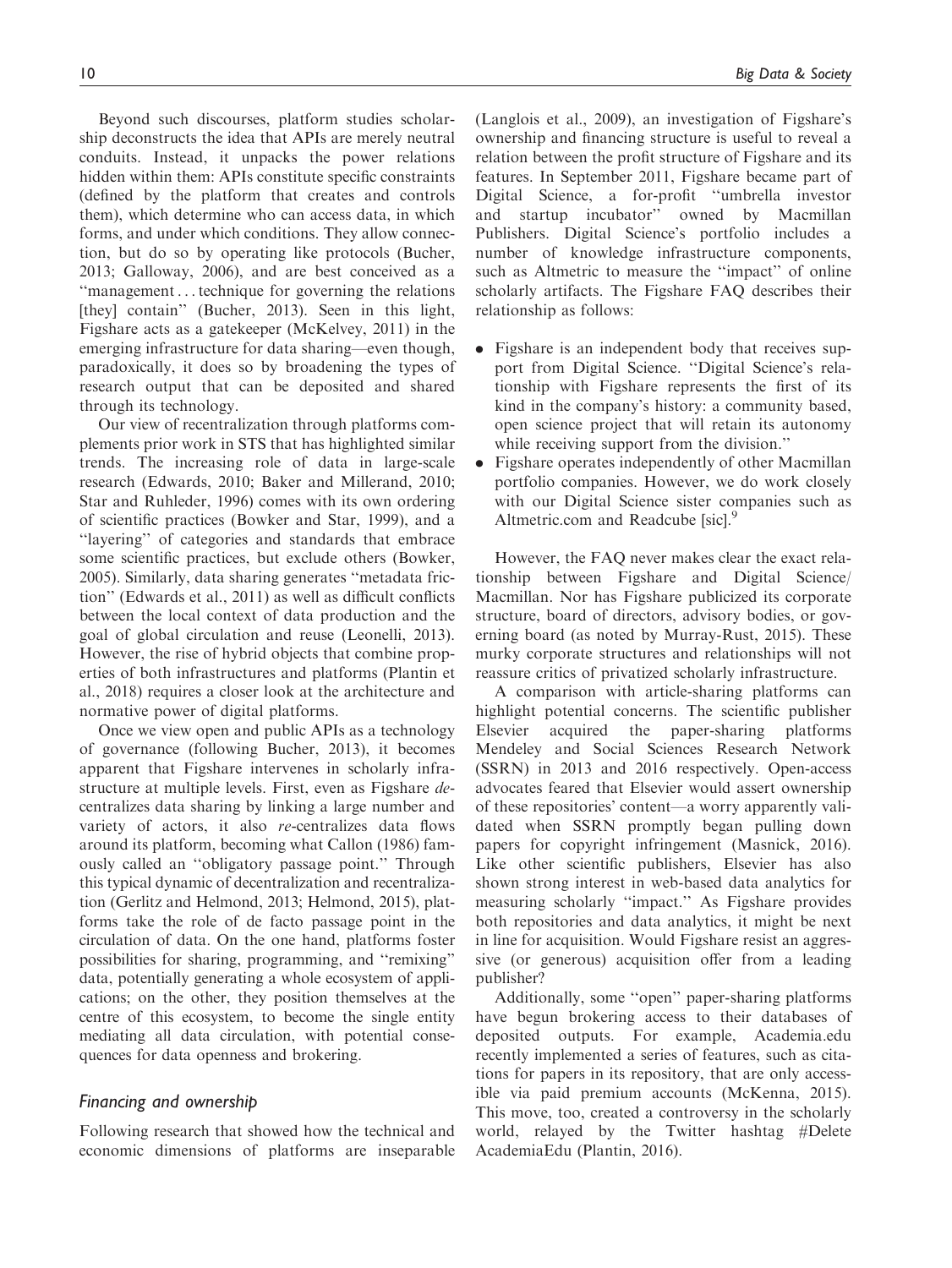Beyond such discourses, platform studies scholarship deconstructs the idea that APIs are merely neutral conduits. Instead, it unpacks the power relations hidden within them: APIs constitute specific constraints (defined by the platform that creates and controls them), which determine who can access data, in which forms, and under which conditions. They allow connection, but do so by operating like protocols (Bucher, 2013; Galloway, 2006), and are best conceived as a ''management ... technique for governing the relations [they] contain" (Bucher, 2013). Seen in this light, Figshare acts as a gatekeeper (McKelvey, 2011) in the emerging infrastructure for data sharing—even though, paradoxically, it does so by broadening the types of research output that can be deposited and shared through its technology.

Our view of recentralization through platforms complements prior work in STS that has highlighted similar trends. The increasing role of data in large-scale research (Edwards, 2010; Baker and Millerand, 2010; Star and Ruhleder, 1996) comes with its own ordering of scientific practices (Bowker and Star, 1999), and a ''layering'' of categories and standards that embrace some scientific practices, but exclude others (Bowker, 2005). Similarly, data sharing generates ''metadata friction'' (Edwards et al., 2011) as well as difficult conflicts between the local context of data production and the goal of global circulation and reuse (Leonelli, 2013). However, the rise of hybrid objects that combine properties of both infrastructures and platforms (Plantin et al., 2018) requires a closer look at the architecture and normative power of digital platforms.

Once we view open and public APIs as a technology of governance (following Bucher, 2013), it becomes apparent that Figshare intervenes in scholarly infrastructure at multiple levels. First, even as Figshare decentralizes data sharing by linking a large number and variety of actors, it also re-centralizes data flows around its platform, becoming what Callon (1986) famously called an ''obligatory passage point.'' Through this typical dynamic of decentralization and recentralization (Gerlitz and Helmond, 2013; Helmond, 2015), platforms take the role of de facto passage point in the circulation of data. On the one hand, platforms foster possibilities for sharing, programming, and ''remixing'' data, potentially generating a whole ecosystem of applications; on the other, they position themselves at the centre of this ecosystem, to become the single entity mediating all data circulation, with potential consequences for data openness and brokering.

#### Financing and ownership

Following research that showed how the technical and economic dimensions of platforms are inseparable (Langlois et al., 2009), an investigation of Figshare's ownership and financing structure is useful to reveal a relation between the profit structure of Figshare and its features. In September 2011, Figshare became part of Digital Science, a for-profit ''umbrella investor and startup incubator'' owned by Macmillan Publishers. Digital Science's portfolio includes a number of knowledge infrastructure components, such as Altmetric to measure the ''impact'' of online scholarly artifacts. The Figshare FAQ describes their relationship as follows:

- . Figshare is an independent body that receives support from Digital Science. ''Digital Science's relationship with Figshare represents the first of its kind in the company's history: a community based, open science project that will retain its autonomy while receiving support from the division."
- . Figshare operates independently of other Macmillan portfolio companies. However, we do work closely with our Digital Science sister companies such as Altmetric.com and Readcube [sic].<sup>9</sup>

However, the FAQ never makes clear the exact relationship between Figshare and Digital Science/ Macmillan. Nor has Figshare publicized its corporate structure, board of directors, advisory bodies, or governing board (as noted by Murray-Rust, 2015). These murky corporate structures and relationships will not reassure critics of privatized scholarly infrastructure.

A comparison with article-sharing platforms can highlight potential concerns. The scientific publisher Elsevier acquired the paper-sharing platforms Mendeley and Social Sciences Research Network (SSRN) in 2013 and 2016 respectively. Open-access advocates feared that Elsevier would assert ownership of these repositories' content—a worry apparently validated when SSRN promptly began pulling down papers for copyright infringement (Masnick, 2016). Like other scientific publishers, Elsevier has also shown strong interest in web-based data analytics for measuring scholarly ''impact.'' As Figshare provides both repositories and data analytics, it might be next in line for acquisition. Would Figshare resist an aggressive (or generous) acquisition offer from a leading publisher?

Additionally, some ''open'' paper-sharing platforms have begun brokering access to their databases of deposited outputs. For example, Academia.edu recently implemented a series of features, such as citations for papers in its repository, that are only accessible via paid premium accounts (McKenna, 2015). This move, too, created a controversy in the scholarly world, relayed by the Twitter hashtag #Delete AcademiaEdu (Plantin, 2016).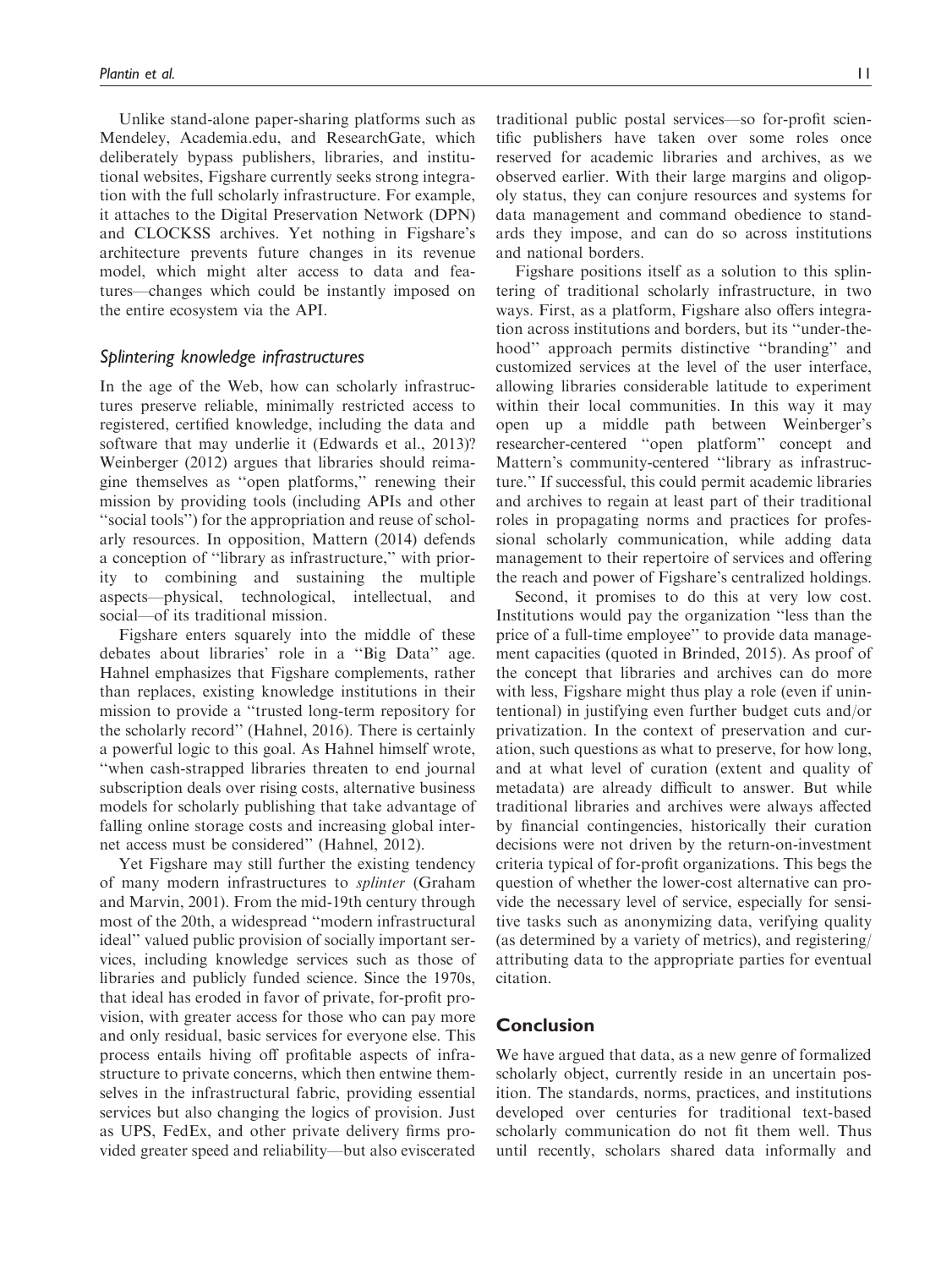Unlike stand-alone paper-sharing platforms such as Mendeley, Academia.edu, and ResearchGate, which deliberately bypass publishers, libraries, and institutional websites, Figshare currently seeks strong integration with the full scholarly infrastructure. For example, it attaches to the Digital Preservation Network (DPN) and CLOCKSS archives. Yet nothing in Figshare's architecture prevents future changes in its revenue model, which might alter access to data and features—changes which could be instantly imposed on the entire ecosystem via the API.

#### Splintering knowledge infrastructures

In the age of the Web, how can scholarly infrastructures preserve reliable, minimally restricted access to registered, certified knowledge, including the data and software that may underlie it (Edwards et al., 2013)? Weinberger (2012) argues that libraries should reimagine themselves as ''open platforms,'' renewing their mission by providing tools (including APIs and other ''social tools'') for the appropriation and reuse of scholarly resources. In opposition, Mattern (2014) defends a conception of ''library as infrastructure,'' with priority to combining and sustaining the multiple aspects—physical, technological, intellectual, and social—of its traditional mission.

Figshare enters squarely into the middle of these debates about libraries' role in a ''Big Data'' age. Hahnel emphasizes that Figshare complements, rather than replaces, existing knowledge institutions in their mission to provide a ''trusted long-term repository for the scholarly record'' (Hahnel, 2016). There is certainly a powerful logic to this goal. As Hahnel himself wrote, ''when cash-strapped libraries threaten to end journal subscription deals over rising costs, alternative business models for scholarly publishing that take advantage of falling online storage costs and increasing global internet access must be considered'' (Hahnel, 2012).

Yet Figshare may still further the existing tendency of many modern infrastructures to splinter (Graham and Marvin, 2001). From the mid-19th century through most of the 20th, a widespread ''modern infrastructural ideal'' valued public provision of socially important services, including knowledge services such as those of libraries and publicly funded science. Since the 1970s, that ideal has eroded in favor of private, for-profit provision, with greater access for those who can pay more and only residual, basic services for everyone else. This process entails hiving off profitable aspects of infrastructure to private concerns, which then entwine themselves in the infrastructural fabric, providing essential services but also changing the logics of provision. Just as UPS, FedEx, and other private delivery firms provided greater speed and reliability—but also eviscerated traditional public postal services—so for-profit scientific publishers have taken over some roles once reserved for academic libraries and archives, as we observed earlier. With their large margins and oligopoly status, they can conjure resources and systems for data management and command obedience to standards they impose, and can do so across institutions and national borders.

Figshare positions itself as a solution to this splintering of traditional scholarly infrastructure, in two ways. First, as a platform, Figshare also offers integration across institutions and borders, but its ''under-thehood'' approach permits distinctive ''branding'' and customized services at the level of the user interface, allowing libraries considerable latitude to experiment within their local communities. In this way it may open up a middle path between Weinberger's researcher-centered ''open platform'' concept and Mattern's community-centered ''library as infrastructure.'' If successful, this could permit academic libraries and archives to regain at least part of their traditional roles in propagating norms and practices for professional scholarly communication, while adding data management to their repertoire of services and offering the reach and power of Figshare's centralized holdings.

Second, it promises to do this at very low cost. Institutions would pay the organization ''less than the price of a full-time employee'' to provide data management capacities (quoted in Brinded, 2015). As proof of the concept that libraries and archives can do more with less, Figshare might thus play a role (even if unintentional) in justifying even further budget cuts and/or privatization. In the context of preservation and curation, such questions as what to preserve, for how long, and at what level of curation (extent and quality of metadata) are already difficult to answer. But while traditional libraries and archives were always affected by financial contingencies, historically their curation decisions were not driven by the return-on-investment criteria typical of for-profit organizations. This begs the question of whether the lower-cost alternative can provide the necessary level of service, especially for sensitive tasks such as anonymizing data, verifying quality (as determined by a variety of metrics), and registering/ attributing data to the appropriate parties for eventual citation.

#### Conclusion

We have argued that data, as a new genre of formalized scholarly object, currently reside in an uncertain position. The standards, norms, practices, and institutions developed over centuries for traditional text-based scholarly communication do not fit them well. Thus until recently, scholars shared data informally and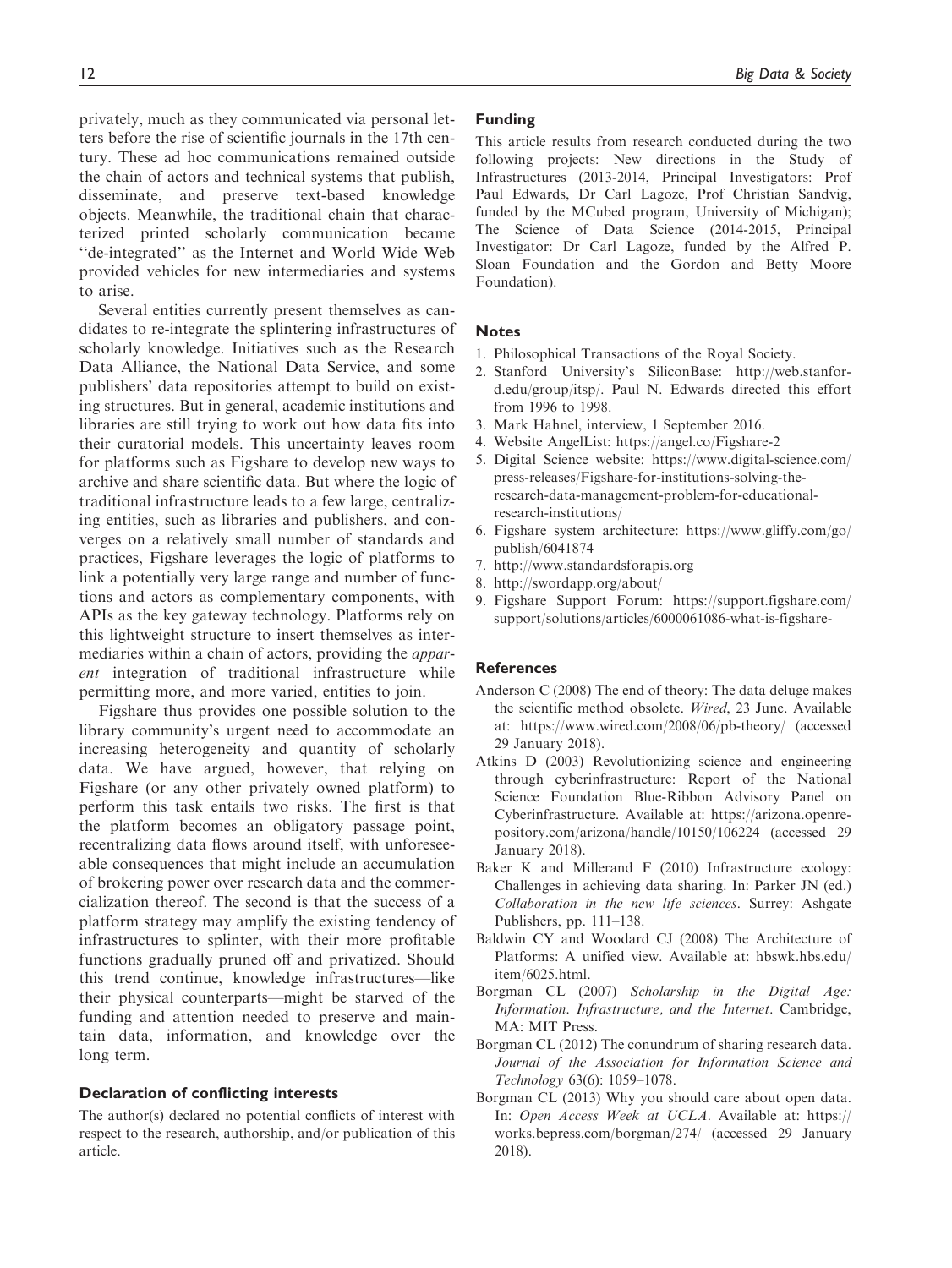privately, much as they communicated via personal letters before the rise of scientific journals in the 17th century. These ad hoc communications remained outside the chain of actors and technical systems that publish, disseminate, and preserve text-based knowledge objects. Meanwhile, the traditional chain that characterized printed scholarly communication became ''de-integrated'' as the Internet and World Wide Web provided vehicles for new intermediaries and systems to arise.

Several entities currently present themselves as candidates to re-integrate the splintering infrastructures of scholarly knowledge. Initiatives such as the Research Data Alliance, the National Data Service, and some publishers' data repositories attempt to build on existing structures. But in general, academic institutions and libraries are still trying to work out how data fits into their curatorial models. This uncertainty leaves room for platforms such as Figshare to develop new ways to archive and share scientific data. But where the logic of traditional infrastructure leads to a few large, centralizing entities, such as libraries and publishers, and converges on a relatively small number of standards and practices, Figshare leverages the logic of platforms to link a potentially very large range and number of functions and actors as complementary components, with APIs as the key gateway technology. Platforms rely on this lightweight structure to insert themselves as intermediaries within a chain of actors, providing the apparent integration of traditional infrastructure while permitting more, and more varied, entities to join.

Figshare thus provides one possible solution to the library community's urgent need to accommodate an increasing heterogeneity and quantity of scholarly data. We have argued, however, that relying on Figshare (or any other privately owned platform) to perform this task entails two risks. The first is that the platform becomes an obligatory passage point, recentralizing data flows around itself, with unforeseeable consequences that might include an accumulation of brokering power over research data and the commercialization thereof. The second is that the success of a platform strategy may amplify the existing tendency of infrastructures to splinter, with their more profitable functions gradually pruned off and privatized. Should this trend continue, knowledge infrastructures—like their physical counterparts—might be starved of the funding and attention needed to preserve and maintain data, information, and knowledge over the long term.

#### Declaration of conflicting interests

The author(s) declared no potential conflicts of interest with respect to the research, authorship, and/or publication of this article.

#### Funding

This article results from research conducted during the two following projects: New directions in the Study of Infrastructures (2013-2014, Principal Investigators: Prof Paul Edwards, Dr Carl Lagoze, Prof Christian Sandvig, funded by the MCubed program, University of Michigan); The Science of Data Science (2014-2015, Principal Investigator: Dr Carl Lagoze, funded by the Alfred P. Sloan Foundation and the Gordon and Betty Moore Foundation).

#### **Notes**

- 1. Philosophical Transactions of the Royal Society.
- 2. Stanford University's SiliconBase: [http://web.stanfor](http://web.stanford.edu/group/itsp/)[d.edu/group/itsp/.](http://web.stanford.edu/group/itsp/) Paul N. Edwards directed this effort from 1996 to 1998.
- 3. Mark Hahnel, interview, 1 September 2016.
- 4. Website AngelList:<https://angel.co/Figshare-2>
- 5. Digital Science website: [https://www.digital-science.com/](https://www.digital-science.com/press-releases/Figshare-for-institutions-solving-the-research-data-management-problem-for-educational-research-institutions/) [press-releases/Figshare-for-institutions-solving-the](https://www.digital-science.com/press-releases/Figshare-for-institutions-solving-the-research-data-management-problem-for-educational-research-institutions/)[research-data-management-problem-for-educational](https://www.digital-science.com/press-releases/Figshare-for-institutions-solving-the-research-data-management-problem-for-educational-research-institutions/)[research-institutions/](https://www.digital-science.com/press-releases/Figshare-for-institutions-solving-the-research-data-management-problem-for-educational-research-institutions/)
- 6. Figshare system architecture: [https://www.gliffy.com/go/](https://www.gliffy.com/go/publish/6041874) [publish/6041874](https://www.gliffy.com/go/publish/6041874)
- 7.<http://www.standardsforapis.org>
- 8.<http://swordapp.org/about/>
- 9. Figshare Support Forum: [https://support.figshare.com/](https://support.figshare.com/support/solutions/articles/6000061086-what-is-figshare-) [support/solutions/articles/6000061086-what-is-figshare-](https://support.figshare.com/support/solutions/articles/6000061086-what-is-figshare-)

#### **References**

- Anderson C (2008) The end of theory: The data deluge makes the scientific method obsolete. Wired, 23 June. Available at: https://www.wired.com/2008/06/pb-theory/ (accessed 29 January 2018).
- Atkins D (2003) Revolutionizing science and engineering through cyberinfrastructure: Report of the National Science Foundation Blue-Ribbon Advisory Panel on Cyberinfrastructure. Available at: https://arizona.openrepository.com/arizona/handle/10150/106224 (accessed 29 January 2018).
- Baker K and Millerand F (2010) Infrastructure ecology: Challenges in achieving data sharing. In: Parker JN (ed.) Collaboration in the new life sciences. Surrey: Ashgate Publishers, pp. 111–138.
- Baldwin CY and Woodard CJ (2008) The Architecture of Platforms: A unified view. Available at: [hbswk.hbs.edu/](hbswk.hbs.edu/item/6025.html) [item/6025.html](hbswk.hbs.edu/item/6025.html).
- Borgman CL (2007) Scholarship in the Digital Age: Information. Infrastructure, and the Internet. Cambridge, MA: MIT Press.
- Borgman CL (2012) The conundrum of sharing research data. Journal of the Association for Information Science and Technology 63(6): 1059–1078.
- Borgman CL (2013) Why you should care about open data. In: Open Access Week at UCLA. Available at: https:// works.bepress.com/borgman/274/ (accessed 29 January 2018).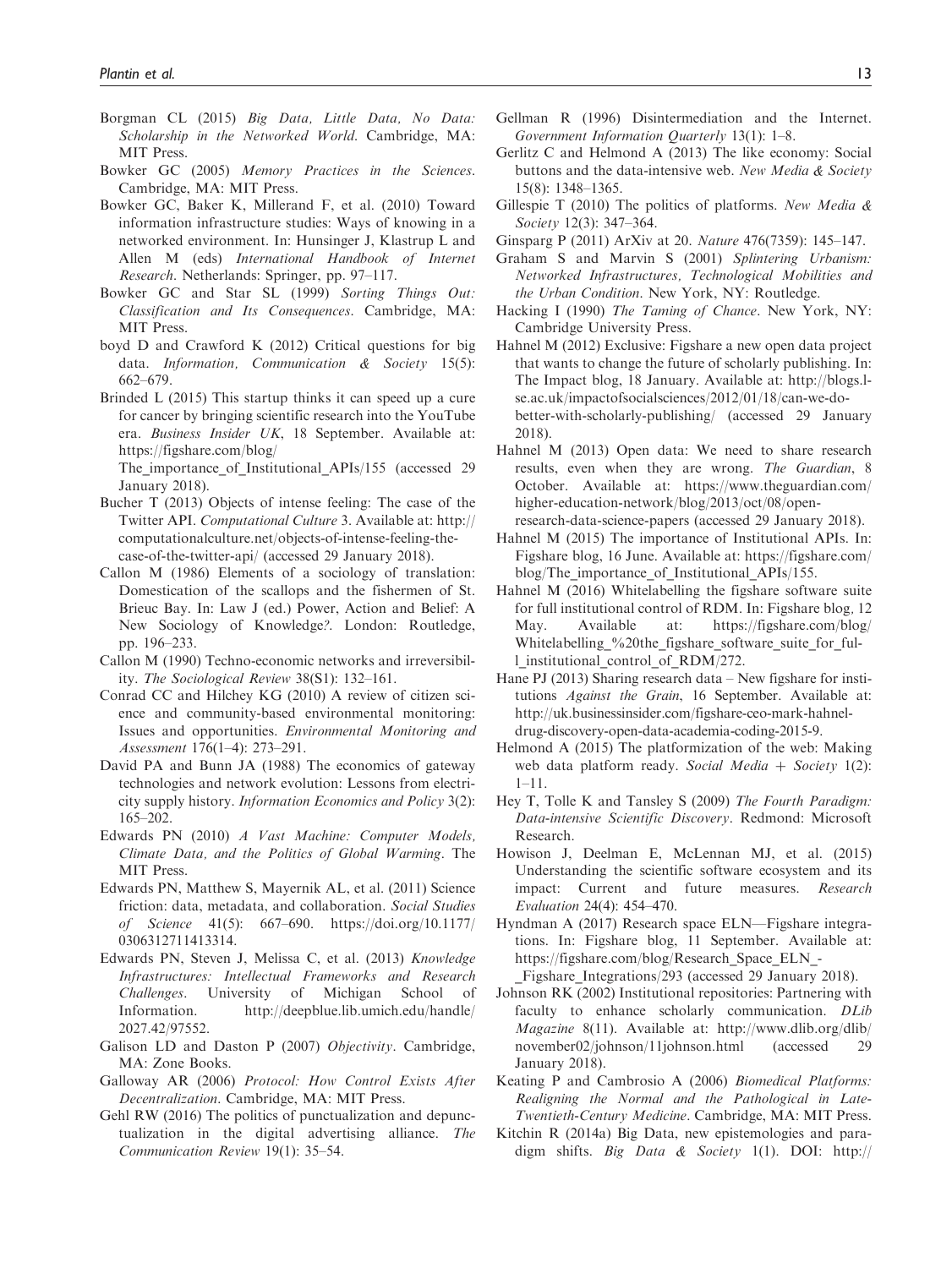- Borgman CL (2015) Big Data, Little Data, No Data: Scholarship in the Networked World. Cambridge, MA: MIT Press.
- Bowker GC (2005) Memory Practices in the Sciences. Cambridge, MA: MIT Press.
- Bowker GC, Baker K, Millerand F, et al. (2010) Toward information infrastructure studies: Ways of knowing in a networked environment. In: Hunsinger J, Klastrup L and Allen M (eds) International Handbook of Internet Research. Netherlands: Springer, pp. 97–117.
- Bowker GC and Star SL (1999) Sorting Things Out: Classification and Its Consequences. Cambridge, MA: MIT Press.
- boyd D and Crawford K (2012) Critical questions for big data. Information, Communication & Society 15(5): 662–679.
- Brinded L (2015) This startup thinks it can speed up a cure for cancer by bringing scientific research into the YouTube era. Business Insider UK, 18 September. Available at: https://figshare.com/blog/

The importance of Institutional APIs/155 (accessed 29 January 2018).

- Bucher T (2013) Objects of intense feeling: The case of the Twitter API. Computational Culture 3. Available at: http:// computationalculture.net/objects-of-intense-feeling-thecase-of-the-twitter-api/ (accessed 29 January 2018).
- Callon M (1986) Elements of a sociology of translation: Domestication of the scallops and the fishermen of St. Brieuc Bay. In: Law J (ed.) Power, Action and Belief: A New Sociology of Knowledge?. London: Routledge, pp. 196–233.
- Callon M (1990) Techno-economic networks and irreversibility. The Sociological Review 38(S1): 132–161.
- Conrad CC and Hilchey KG (2010) A review of citizen science and community-based environmental monitoring: Issues and opportunities. Environmental Monitoring and Assessment 176(1–4): 273–291.
- David PA and Bunn JA (1988) The economics of gateway technologies and network evolution: Lessons from electricity supply history. Information Economics and Policy 3(2): 165–202.
- Edwards PN (2010) A Vast Machine: Computer Models, Climate Data, and the Politics of Global Warming. The MIT Press.
- Edwards PN, Matthew S, Mayernik AL, et al. (2011) Science friction: data, metadata, and collaboration. Social Studies of Science 41(5): 667–690. https://doi.org/10.1177/ 0306312711413314.
- Edwards PN, Steven J, Melissa C, et al. (2013) Knowledge Infrastructures: Intellectual Frameworks and Research Challenges. University of Michigan School of Information. http://deepblue.lib.umich.edu/handle/ 2027.42/97552.
- Galison LD and Daston P (2007) Objectivity. Cambridge, MA: Zone Books.
- Galloway AR (2006) Protocol: How Control Exists After Decentralization. Cambridge, MA: MIT Press.
- Gehl RW (2016) The politics of punctualization and depunctualization in the digital advertising alliance. The Communication Review 19(1): 35–54.
- Gellman R (1996) Disintermediation and the Internet. Government Information Quarterly 13(1): 1–8.
- Gerlitz C and Helmond A (2013) The like economy: Social buttons and the data-intensive web. New Media & Society 15(8): 1348–1365.
- Gillespie T (2010) The politics of platforms. New Media & Society 12(3): 347–364.
- Ginsparg P (2011) ArXiv at 20. Nature 476(7359): 145–147.
- Graham S and Marvin S (2001) Splintering Urbanism: Networked Infrastructures, Technological Mobilities and the Urban Condition. New York, NY: Routledge.
- Hacking I (1990) The Taming of Chance. New York, NY: Cambridge University Press.
- Hahnel M (2012) Exclusive: Figshare a new open data project that wants to change the future of scholarly publishing. In: The Impact blog, 18 January. Available at: http://blogs.lse.ac.uk/impactofsocialsciences/2012/01/18/can-we-dobetter-with-scholarly-publishing/ (accessed 29 January 2018).
- Hahnel M (2013) Open data: We need to share research results, even when they are wrong. The Guardian, 8 October. Available at: https://www.theguardian.com/ higher-education-network/blog/2013/oct/08/openresearch-data-science-papers (accessed 29 January 2018).
- Hahnel M (2015) The importance of Institutional APIs. In: Figshare blog, 16 June. Available at: https://figshare.com/ blog/The\_importance\_of\_Institutional\_APIs/155.
- Hahnel M (2016) Whitelabelling the figshare software suite for full institutional control of RDM. In: Figshare blog, 12 May. Available at: https://figshare.com/blog/ Whitelabelling\_%20the\_figshare\_software\_suite\_for\_full\_institutional\_control\_of\_RDM/272.
- Hane PJ (2013) Sharing research data New figshare for institutions Against the Grain, 16 September. Available at: http://uk.businessinsider.com/figshare-ceo-mark-hahneldrug-discovery-open-data-academia-coding-2015-9.
- Helmond A (2015) The platformization of the web: Making web data platform ready. Social Media  $+$  Society 1(2): 1–11.
- Hey T, Tolle K and Tansley S (2009) The Fourth Paradigm: Data-intensive Scientific Discovery. Redmond: Microsoft Research.
- Howison J, Deelman E, McLennan MJ, et al. (2015) Understanding the scientific software ecosystem and its impact: Current and future measures. Research Evaluation 24(4): 454–470.
- Hyndman A (2017) Research space ELN—Figshare integrations. In: Figshare blog, 11 September. Available at: https://figshare.com/blog/Research\_Space\_ELN\_- Figshare Integrations/293 (accessed 29 January 2018).
- Johnson RK (2002) Institutional repositories: Partnering with faculty to enhance scholarly communication. DLib Magazine 8(11). Available at: http://www.dlib.org/dlib/ november02/johnson/11johnson.html (accessed 29 January 2018).
- Keating P and Cambrosio A (2006) Biomedical Platforms: Realigning the Normal and the Pathological in Late-Twentieth-Century Medicine. Cambridge, MA: MIT Press.
- Kitchin R (2014a) Big Data, new epistemologies and paradigm shifts. Big Data & Society 1(1). DOI: http://